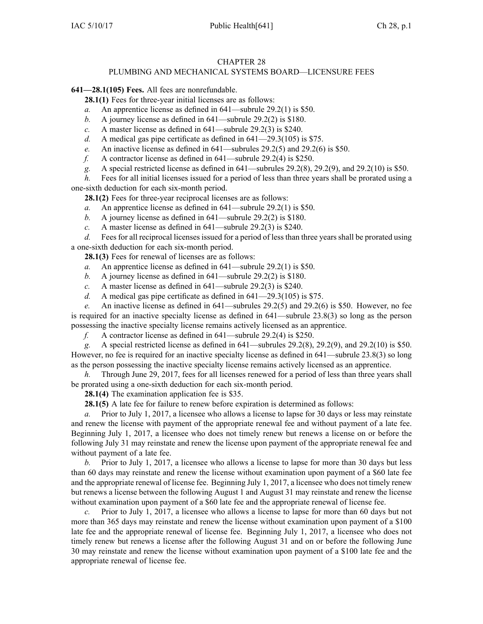## CHAPTER 28

## PLUMBING AND MECHANICAL SYSTEMS BOARD—LICENSURE FEES

**641—28.1(105) Fees.** All fees are nonrefundable.

**28.1(1)** Fees for three-year initial licenses are as follows:

- *a.* An apprentice license as defined in [641—subrule](https://www.legis.iowa.gov/docs/iac/rule/641.29.2.pdf) 29.2(1) is \$50.
- *b.* A journey license as defined in [641—subrule](https://www.legis.iowa.gov/docs/iac/rule/641.29.2.pdf) 29.2(2) is \$180.
- *c.* A master license as defined in [641—subrule](https://www.legis.iowa.gov/docs/iac/rule/641.29.2.pdf) 29.2(3) is \$240.
- *d.* A medical gas pipe certificate as defined in [641—29.3\(105\)](https://www.legis.iowa.gov/docs/iac/rule/641.29.3.pdf) is \$75.
- *e.* An inactive license as defined in [641—subrules](https://www.legis.iowa.gov/docs/iac/rule/641.29.2.pdf) 29.2(5) and [29.2\(6\)](https://www.legis.iowa.gov/docs/iac/rule/641.29.2.pdf) is \$50.
- *f.* A contractor license as defined in [641—subrule](https://www.legis.iowa.gov/docs/iac/rule/641.29.2.pdf) 29.2(4) is \$250.
- *g.* A special restricted license as defined in [641—subrules](https://www.legis.iowa.gov/docs/iac/rule/641.29.2.pdf) 29.2(8), [29.2\(9\)](https://www.legis.iowa.gov/docs/iac/rule/641.29.2.pdf), and [29.2\(10\)](https://www.legis.iowa.gov/docs/iac/rule/641.29.2.pdf) is \$50.

*h.* Fees for all initial licenses issued for a period of less than three years shall be prorated using a one-sixth deduction for each six-month period.

**28.1(2)** Fees for three-year reciprocal licenses are as follows:

- *a.* An apprentice license as defined in [641—subrule](https://www.legis.iowa.gov/docs/iac/rule/641.29.2.pdf) 29.2(1) is \$50.
- *b.* A journey license as defined in [641—subrule](https://www.legis.iowa.gov/docs/iac/rule/641.29.2.pdf) 29.2(2) is \$180.
- *c.* A master license as defined in [641—subrule](https://www.legis.iowa.gov/docs/iac/rule/641.29.2.pdf) 29.2(3) is \$240.

*d.* Fees for all reciprocal licenses issued for <sup>a</sup> period of less than three years shall be prorated using <sup>a</sup> one-sixth deduction for each six-month period.

**28.1(3)** Fees for renewal of licenses are as follows:

- *a.* An apprentice license as defined in [641—subrule](https://www.legis.iowa.gov/docs/iac/rule/641.29.2.pdf) 29.2(1) is \$50.
- *b.* A journey license as defined in [641—subrule](https://www.legis.iowa.gov/docs/iac/rule/641.29.2.pdf) 29.2(2) is \$180.
- *c.* A master license as defined in [641—subrule](https://www.legis.iowa.gov/docs/iac/rule/641.29.2.pdf) 29.2(3) is \$240.
- *d.* A medical gas pipe certificate as defined in [641—29.3\(105\)](https://www.legis.iowa.gov/docs/iac/rule/641.29.3.pdf) is \$75.

*e.* An inactive license as defined in [641—subrules](https://www.legis.iowa.gov/docs/iac/rule/641.29.2.pdf) 29.2(5) and [29.2\(6\)](https://www.legis.iowa.gov/docs/iac/rule/641.29.2.pdf) is \$50. However, no fee is required for an inactive specialty license as defined in [641—subrule](https://www.legis.iowa.gov/docs/iac/rule/641.23.8.pdf) 23.8(3) so long as the person possessing the inactive specialty license remains actively licensed as an apprentice.

*f.* A contractor license as defined in [641—subrule](https://www.legis.iowa.gov/docs/iac/rule/641.29.2.pdf) 29.2(4) is \$250.

*g.* A special restricted license as defined in [641—subrules](https://www.legis.iowa.gov/docs/iac/rule/641.29.2.pdf) 29.2(8), [29.2\(9\)](https://www.legis.iowa.gov/docs/iac/rule/641.29.2.pdf), and [29.2\(10\)](https://www.legis.iowa.gov/docs/iac/rule/641.29.2.pdf) is \$50. However, no fee is required for an inactive specialty license as defined in [641—subrule](https://www.legis.iowa.gov/docs/iac/rule/641.23.8.pdf) 23.8(3) so long as the person possessing the inactive specialty license remains actively licensed as an apprentice.

*h.* Through June 29, 2017, fees for all licenses renewed for <sup>a</sup> period of less than three years shall be prorated using <sup>a</sup> one-sixth deduction for each six-month period.

**28.1(4)** The examination application fee is \$35.

**28.1(5)** A late fee for failure to renew before expiration is determined as follows:

*a.* Prior to July 1, 2017, <sup>a</sup> licensee who allows <sup>a</sup> license to lapse for 30 days or less may reinstate and renew the license with paymen<sup>t</sup> of the appropriate renewal fee and without paymen<sup>t</sup> of <sup>a</sup> late fee. Beginning July 1, 2017, <sup>a</sup> licensee who does not timely renew but renews <sup>a</sup> license on or before the following July 31 may reinstate and renew the license upon paymen<sup>t</sup> of the appropriate renewal fee and without paymen<sup>t</sup> of <sup>a</sup> late fee.

*b.* Prior to July 1, 2017, <sup>a</sup> licensee who allows <sup>a</sup> license to lapse for more than 30 days but less than 60 days may reinstate and renew the license without examination upon paymen<sup>t</sup> of <sup>a</sup> \$60 late fee and the appropriate renewal of license fee. Beginning July 1, 2017, <sup>a</sup> licensee who does not timely renew but renews <sup>a</sup> license between the following August 1 and August 31 may reinstate and renew the license without examination upon paymen<sup>t</sup> of <sup>a</sup> \$60 late fee and the appropriate renewal of license fee.

*c.* Prior to July 1, 2017, <sup>a</sup> licensee who allows <sup>a</sup> license to lapse for more than 60 days but not more than 365 days may reinstate and renew the license without examination upon paymen<sup>t</sup> of <sup>a</sup> \$100 late fee and the appropriate renewal of license fee. Beginning July 1, 2017, <sup>a</sup> licensee who does not timely renew but renews <sup>a</sup> license after the following August 31 and on or before the following June 30 may reinstate and renew the license without examination upon paymen<sup>t</sup> of <sup>a</sup> \$100 late fee and the appropriate renewal of license fee.